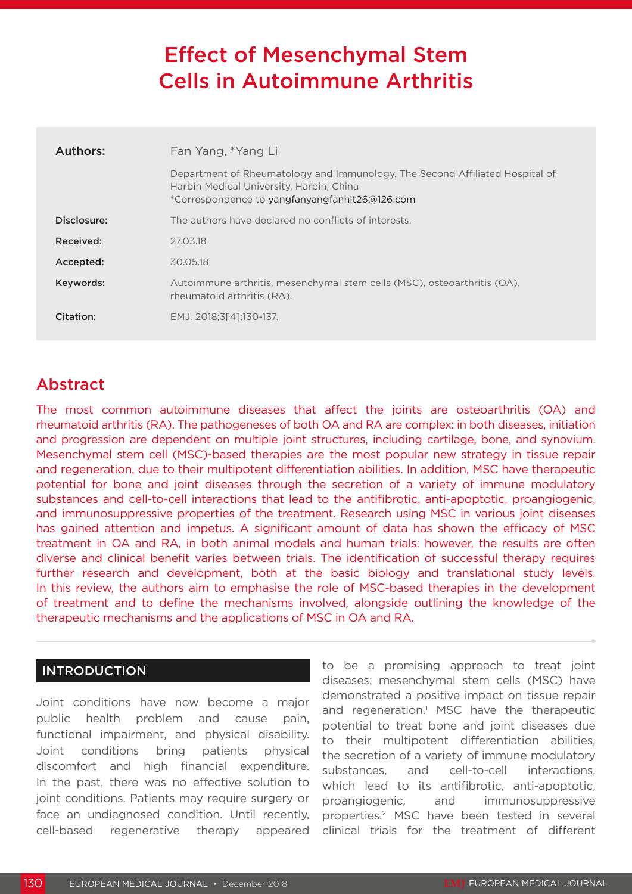# Effect of Mesenchymal Stem Cells in Autoimmune Arthritis

| Authors:    | Fan Yang, *Yang Li                                                                                                                                                         |
|-------------|----------------------------------------------------------------------------------------------------------------------------------------------------------------------------|
|             | Department of Rheumatology and Immunology, The Second Affiliated Hospital of<br>Harbin Medical University, Harbin, China<br>*Correspondence to yangfanyangfanhit26@126.com |
| Disclosure: | The authors have declared no conflicts of interests.                                                                                                                       |
| Received:   | 27.03.18                                                                                                                                                                   |
| Accepted:   | 30.05.18                                                                                                                                                                   |
| Keywords:   | Autoimmune arthritis, mesenchymal stem cells (MSC), osteoarthritis (OA),<br>rheumatoid arthritis (RA).                                                                     |
| Citation:   | EMJ. 2018:3[41:130-137.                                                                                                                                                    |

## Abstract

The most common autoimmune diseases that affect the joints are osteoarthritis (OA) and rheumatoid arthritis (RA). The pathogeneses of both OA and RA are complex: in both diseases, initiation and progression are dependent on multiple joint structures, including cartilage, bone, and synovium. Mesenchymal stem cell (MSC)-based therapies are the most popular new strategy in tissue repair and regeneration, due to their multipotent differentiation abilities. In addition, MSC have therapeutic potential for bone and joint diseases through the secretion of a variety of immune modulatory substances and cell-to-cell interactions that lead to the antifibrotic, anti-apoptotic, proangiogenic, and immunosuppressive properties of the treatment. Research using MSC in various joint diseases has gained attention and impetus. A significant amount of data has shown the efficacy of MSC treatment in OA and RA, in both animal models and human trials: however, the results are often diverse and clinical benefit varies between trials. The identification of successful therapy requires further research and development, both at the basic biology and translational study levels. In this review, the authors aim to emphasise the role of MSC-based therapies in the development of treatment and to define the mechanisms involved, alongside outlining the knowledge of the therapeutic mechanisms and the applications of MSC in OA and RA.

#### INTRODUCTION

Joint conditions have now become a major public health problem and cause pain, functional impairment, and physical disability. Joint conditions bring patients physical discomfort and high financial expenditure. In the past, there was no effective solution to joint conditions. Patients may require surgery or face an undiagnosed condition. Until recently, cell-based regenerative therapy appeared

to be a promising approach to treat joint diseases; mesenchymal stem cells (MSC) have demonstrated a positive impact on tissue repair and regeneration.<sup>1</sup> MSC have the therapeutic potential to treat bone and joint diseases due to their multipotent differentiation abilities, the secretion of a variety of immune modulatory substances, and cell-to-cell interactions, which lead to its antifibrotic, anti-apoptotic, proangiogenic, and immunosuppressive properties.2 MSC have been tested in several clinical trials for the treatment of different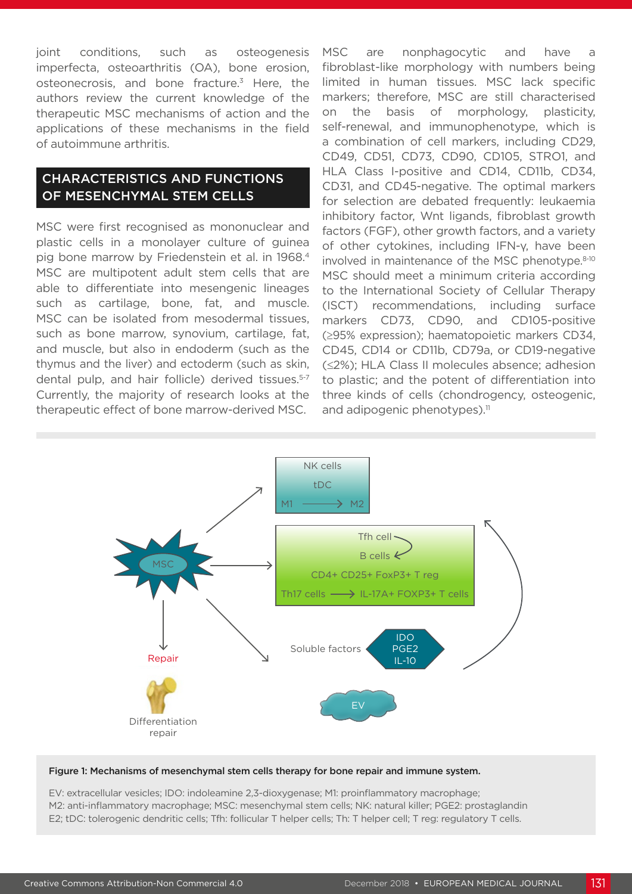joint conditions, such as osteogenesis imperfecta, osteoarthritis (OA), bone erosion, osteonecrosis, and bone fracture.<sup>3</sup> Here, the authors review the current knowledge of the therapeutic MSC mechanisms of action and the applications of these mechanisms in the field of autoimmune arthritis.

#### CHARACTERISTICS AND FUNCTIONS OF MESENCHYMAL STEM CELLS

MSC were first recognised as mononuclear and plastic cells in a monolayer culture of guinea pig bone marrow by Friedenstein et al. in 1968.4 MSC are multipotent adult stem cells that are able to differentiate into mesengenic lineages such as cartilage, bone, fat, and muscle. MSC can be isolated from mesodermal tissues, such as bone marrow, synovium, cartilage, fat, and muscle, but also in endoderm (such as the thymus and the liver) and ectoderm (such as skin, dental pulp, and hair follicle) derived tissues.<sup>5-7</sup> Currently, the majority of research looks at the therapeutic effect of bone marrow-derived MSC.

MSC are nonphagocytic and have fibroblast-like morphology with numbers being limited in human tissues. MSC lack specific markers; therefore, MSC are still characterised on the basis of morphology, plasticity, self-renewal, and immunophenotype, which is a combination of cell markers, including CD29, CD49, CD51, CD73, CD90, CD105, STRO1, and HLA Class I-positive and CD14, CD11b, CD34, CD31, and CD45-negative. The optimal markers for selection are debated frequently: leukaemia inhibitory factor, Wnt ligands, fibroblast growth factors (FGF), other growth factors, and a variety of other cytokines, including IFN-γ, have been involved in maintenance of the MSC phenotype.<sup>8-10</sup> MSC should meet a minimum criteria according to the International Society of Cellular Therapy (ISCT) recommendations, including surface markers CD73, CD90, and CD105-positive (≥95% expression); haematopoietic markers CD34, CD45, CD14 or CD11b, CD79a, or CD19-negative (≤2%); HLA Class II molecules absence; adhesion to plastic; and the potent of differentiation into three kinds of cells (chondrogency, osteogenic, and adipogenic phenotypes).<sup>11</sup>



#### Figure 1: Mechanisms of mesenchymal stem cells therapy for bone repair and immune system.

EV: extracellular vesicles; IDO: indoleamine 2,3-dioxygenase; M1: proinflammatory macrophage; M2: anti-inflammatory macrophage; MSC: mesenchymal stem cells; NK: natural killer; PGE2: prostaglandin E2; tDC: tolerogenic dendritic cells; Tfh: follicular T helper cells; Th: T helper cell; T reg: regulatory T cells.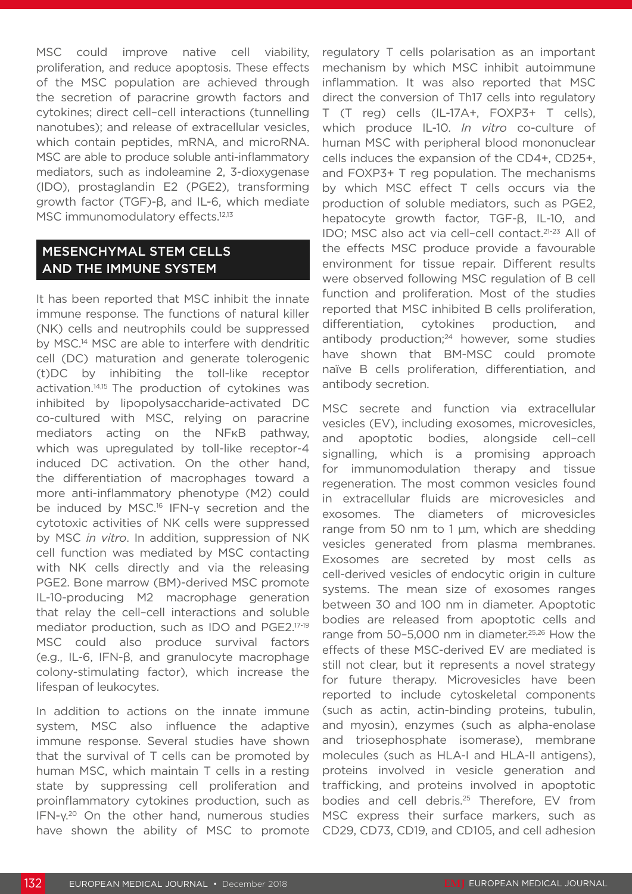MSC could improve native cell viability, proliferation, and reduce apoptosis. These effects of the MSC population are achieved through the secretion of paracrine growth factors and cytokines; direct cell–cell interactions (tunnelling nanotubes); and release of extracellular vesicles, which contain peptides, mRNA, and microRNA. MSC are able to produce soluble anti-inflammatory mediators, such as indoleamine 2, 3-dioxygenase (IDO), prostaglandin E2 (PGE2), transforming growth factor (TGF)-β, and IL-6, which mediate MSC immunomodulatory effects.<sup>12,13</sup>

#### MESENCHYMAL STEM CELLS AND THE IMMUNE SYSTEM

It has been reported that MSC inhibit the innate immune response. The functions of natural killer (NK) cells and neutrophils could be suppressed by MSC.14 MSC are able to interfere with dendritic cell (DC) maturation and generate tolerogenic (t)DC by inhibiting the toll-like receptor activation.<sup>14,15</sup> The production of cytokines was inhibited by lipopolysaccharide-activated DC co-cultured with MSC, relying on paracrine mediators acting on the NFKB pathway, which was upregulated by toll-like receptor-4 induced DC activation. On the other hand, the differentiation of macrophages toward a more anti-inflammatory phenotype (M2) could be induced by MSC.<sup>16</sup> IFN-y secretion and the cytotoxic activities of NK cells were suppressed by MSC *in vitro*. In addition, suppression of NK cell function was mediated by MSC contacting with NK cells directly and via the releasing PGE2. Bone marrow (BM)-derived MSC promote IL-10-producing M2 macrophage generation that relay the cell–cell interactions and soluble mediator production, such as IDO and PGE2.17-19 MSC could also produce survival factors (e.g., IL-6, IFN-β, and granulocyte macrophage colony-stimulating factor), which increase the lifespan of leukocytes.

In addition to actions on the innate immune system, MSC also influence the adaptive immune response. Several studies have shown that the survival of T cells can be promoted by human MSC, which maintain T cells in a resting state by suppressing cell proliferation and proinflammatory cytokines production, such as IFN-γ.20 On the other hand, numerous studies have shown the ability of MSC to promote regulatory T cells polarisation as an important mechanism by which MSC inhibit autoimmune inflammation. It was also reported that MSC direct the conversion of Th17 cells into regulatory T (T reg) cells (IL-17A+, FOXP3+ T cells), which produce IL-10. *In vitro* co-culture of human MSC with peripheral blood mononuclear cells induces the expansion of the CD4+, CD25+, and FOXP3+ T reg population. The mechanisms by which MSC effect T cells occurs via the production of soluble mediators, such as PGE2, hepatocyte growth factor, TGF-β, IL-10, and IDO; MSC also act via cell–cell contact.21-23 All of the effects MSC produce provide a favourable environment for tissue repair. Different results were observed following MSC regulation of B cell function and proliferation. Most of the studies reported that MSC inhibited B cells proliferation, differentiation, cytokines production, and antibody production;<sup>24</sup> however, some studies have shown that BM-MSC could promote naïve B cells proliferation, differentiation, and antibody secretion.

MSC secrete and function via extracellular vesicles (EV), including exosomes, microvesicles, and apoptotic bodies, alongside cell–cell signalling, which is a promising approach for immunomodulation therapy and tissue regeneration. The most common vesicles found in extracellular fluids are microvesicles and exosomes. The diameters of microvesicles range from 50 nm to 1 μm, which are shedding vesicles generated from plasma membranes. Exosomes are secreted by most cells as cell-derived vesicles of endocytic origin in culture systems. The mean size of exosomes ranges between 30 and 100 nm in diameter. Apoptotic bodies are released from apoptotic cells and range from 50–5,000 nm in diameter.25,26 How the effects of these MSC-derived EV are mediated is still not clear, but it represents a novel strategy for future therapy. Microvesicles have been reported to include cytoskeletal components (such as actin, actin-binding proteins, tubulin, and myosin), enzymes (such as alpha-enolase and triosephosphate isomerase), membrane molecules (such as HLA-I and HLA-II antigens), proteins involved in vesicle generation and trafficking, and proteins involved in apoptotic bodies and cell debris.<sup>25</sup> Therefore, EV from MSC express their surface markers, such as CD29, CD73, CD19, and CD105, and cell adhesion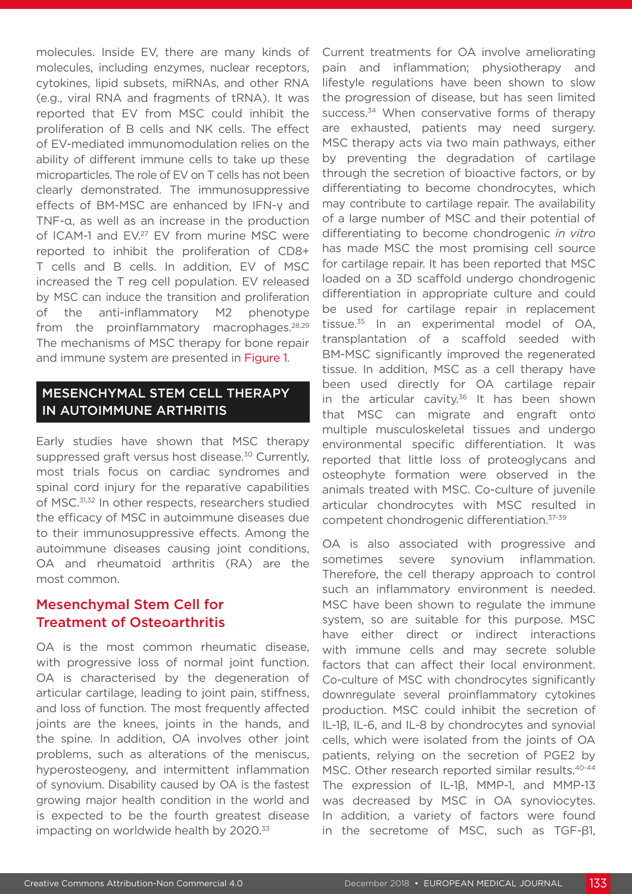molecules. Inside EV, there are many kinds of molecules, including enzymes, nuclear receptors, cytokines, lipid subsets, miRNAs, and other RNA (e.g., viral RNA and fragments of tRNA). It was reported that EV from MSC could inhibit the proliferation of B cells and NK cells. The effect of EV-mediated immunomodulation relies on the ability of different immune cells to take up these microparticles. The role of EV on T cells has not been clearly demonstrated. The immunosuppressive effects of BM-MSC are enhanced by IFN-γ and TNF-α, as well as an increase in the production of ICAM-1 and EV.<sup>27</sup> EV from murine MSC were reported to inhibit the proliferation of CD8+ T cells and B cells. In addition, EV of MSC increased the T reg cell population. EV released by MSC can induce the transition and proliferation of the anti-inflammatory M2 phenotype from the proinflammatory macrophages. $28,29$ The mechanisms of MSC therapy for bone repair and immune system are presented in Figure 1.

#### MESENCHYMAL STEM CELL THERAPY IN AUTOIMMUNE ARTHRITIS

Early studies have shown that MSC therapy suppressed graft versus host disease.<sup>30</sup> Currently, most trials focus on cardiac syndromes and spinal cord injury for the reparative capabilities of MSC.<sup>31,32</sup> In other respects, researchers studied the efficacy of MSC in autoimmune diseases due to their immunosuppressive effects. Among the autoimmune diseases causing joint conditions, OA and rheumatoid arthritis (RA) are the most common.

## Mesenchymal Stem Cell for Treatment of Osteoarthritis

OA is the most common rheumatic disease, with progressive loss of normal joint function. OA is characterised by the degeneration of articular cartilage, leading to joint pain, stiffness, and loss of function. The most frequently affected joints are the knees, joints in the hands, and the spine. In addition, OA involves other joint problems, such as alterations of the meniscus, hyperosteogeny, and intermittent inflammation of synovium. Disability caused by OA is the fastest growing major health condition in the world and is expected to be the fourth greatest disease impacting on worldwide health by 2020.<sup>33</sup>

Current treatments for OA involve ameliorating pain and inflammation; physiotherapy and lifestyle regulations have been shown to slow the progression of disease, but has seen limited success.<sup>34</sup> When conservative forms of therapy are exhausted, patients may need surgery. MSC therapy acts via two main pathways, either by preventing the degradation of cartilage through the secretion of bioactive factors, or by differentiating to become chondrocytes, which may contribute to cartilage repair. The availability of a large number of MSC and their potential of differentiating to become chondrogenic *in vitro* has made MSC the most promising cell source for cartilage repair. It has been reported that MSC loaded on a 3D scaffold undergo chondrogenic differentiation in appropriate culture and could be used for cartilage repair in replacement tissue. $35$  In an experimental model of OA, transplantation of a scaffold seeded with BM-MSC significantly improved the regenerated tissue. In addition, MSC as a cell therapy have been used directly for OA cartilage repair in the articular cavity. $36$  It has been shown that MSC can migrate and engraft onto multiple musculoskeletal tissues and undergo environmental specific differentiation. It was reported that little loss of proteoglycans and osteophyte formation were observed in the animals treated with MSC. Co-culture of juvenile articular chondrocytes with MSC resulted in competent chondrogenic differentiation.37-39

OA is also associated with progressive and sometimes severe synovium inflammation. Therefore, the cell therapy approach to control such an inflammatory environment is needed. MSC have been shown to regulate the immune system, so are suitable for this purpose. MSC have either direct or indirect interactions with immune cells and may secrete soluble factors that can affect their local environment. Co-culture of MSC with chondrocytes significantly downregulate several proinflammatory cytokines production. MSC could inhibit the secretion of IL-1β, IL-6, and IL-8 by chondrocytes and synovial cells, which were isolated from the joints of OA patients, relying on the secretion of PGE2 by MSC. Other research reported similar results.<sup>40-44</sup> The expression of IL-1β, MMP-1, and MMP-13 was decreased by MSC in OA synoviocytes. In addition, a variety of factors were found in the secretome of MSC, such as TGF-β1,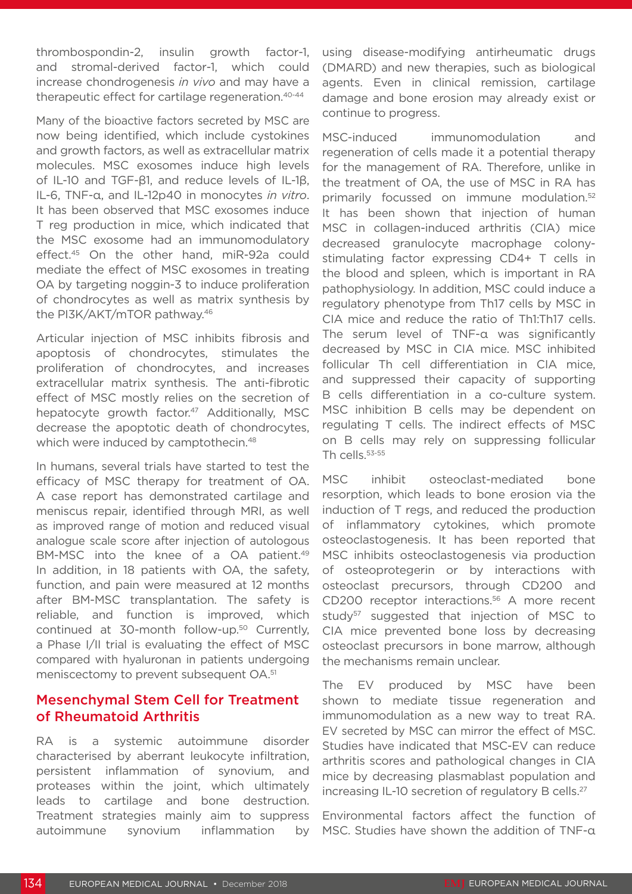thrombospondin-2, insulin growth factor-1, and stromal-derived factor-1, which could increase chondrogenesis *in vivo* and may have a therapeutic effect for cartilage regeneration.40-44

Many of the bioactive factors secreted by MSC are now being identified, which include cystokines and growth factors, as well as extracellular matrix molecules. MSC exosomes induce high levels of IL-10 and TGF-β1, and reduce levels of IL-1β, IL-6, TNF-α, and IL-12p40 in monocytes *in vitro*. It has been observed that MSC exosomes induce T reg production in mice, which indicated that the MSC exosome had an immunomodulatory effect.45 On the other hand, miR-92a could mediate the effect of MSC exosomes in treating OA by targeting noggin-3 to induce proliferation of chondrocytes as well as matrix synthesis by the PI3K/AKT/mTOR pathway.46

Articular injection of MSC inhibits fibrosis and apoptosis of chondrocytes, stimulates the proliferation of chondrocytes, and increases extracellular matrix synthesis. The anti-fibrotic effect of MSC mostly relies on the secretion of hepatocyte growth factor.<sup>47</sup> Additionally, MSC decrease the apoptotic death of chondrocytes, which were induced by camptothecin.<sup>48</sup>

In humans, several trials have started to test the efficacy of MSC therapy for treatment of OA. A case report has demonstrated cartilage and meniscus repair, identified through MRI, as well as improved range of motion and reduced visual analogue scale score after injection of autologous BM-MSC into the knee of a OA patient.<sup>49</sup> In addition, in 18 patients with OA, the safety, function, and pain were measured at 12 months after BM-MSC transplantation. The safety is reliable, and function is improved, which continued at 30-month follow-up.50 Currently, a Phase I/II trial is evaluating the effect of MSC compared with hyaluronan in patients undergoing meniscectomy to prevent subsequent OA.51

## Mesenchymal Stem Cell for Treatment of Rheumatoid Arthritis

RA is a systemic autoimmune disorder characterised by aberrant leukocyte infiltration, persistent inflammation of synovium, and proteases within the joint, which ultimately leads to cartilage and bone destruction. Treatment strategies mainly aim to suppress autoimmune synovium inflammation by using disease-modifying antirheumatic drugs (DMARD) and new therapies, such as biological agents. Even in clinical remission, cartilage damage and bone erosion may already exist or continue to progress.

MSC-induced immunomodulation and regeneration of cells made it a potential therapy for the management of RA. Therefore, unlike in the treatment of OA, the use of MSC in RA has primarily focussed on immune modulation.<sup>52</sup> It has been shown that injection of human MSC in collagen-induced arthritis (CIA) mice decreased granulocyte macrophage colonystimulating factor expressing CD4+ T cells in the blood and spleen, which is important in RA pathophysiology. In addition, MSC could induce a regulatory phenotype from Th17 cells by MSC in CIA mice and reduce the ratio of Th1:Th17 cells. The serum level of TNF-α was significantly decreased by MSC in CIA mice. MSC inhibited follicular Th cell differentiation in CIA mice, and suppressed their capacity of supporting B cells differentiation in a co-culture system. MSC inhibition B cells may be dependent on regulating T cells. The indirect effects of MSC on B cells may rely on suppressing follicular Th cells.53-55

MSC inhibit osteoclast-mediated bone resorption, which leads to bone erosion via the induction of T regs, and reduced the production of inflammatory cytokines, which promote osteoclastogenesis. It has been reported that MSC inhibits osteoclastogenesis via production of osteoprotegerin or by interactions with osteoclast precursors, through CD200 and CD200 receptor interactions.<sup>56</sup> A more recent study<sup>57</sup> suggested that injection of MSC to CIA mice prevented bone loss by decreasing osteoclast precursors in bone marrow, although the mechanisms remain unclear.

The EV produced by MSC have been shown to mediate tissue regeneration and immunomodulation as a new way to treat RA. EV secreted by MSC can mirror the effect of MSC. Studies have indicated that MSC-EV can reduce arthritis scores and pathological changes in CIA mice by decreasing plasmablast population and increasing IL-10 secretion of regulatory B cells.27

Environmental factors affect the function of MSC. Studies have shown the addition of TNF-α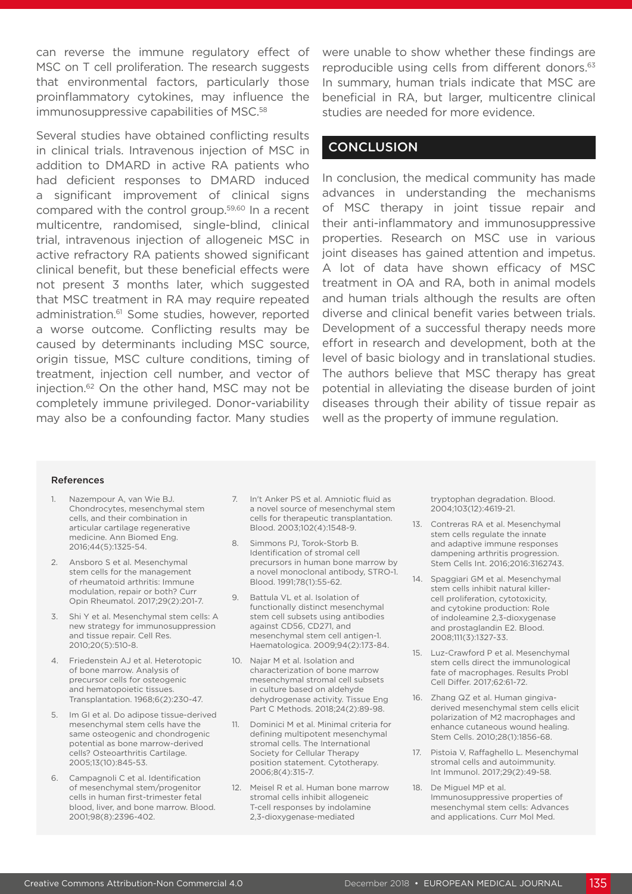can reverse the immune regulatory effect of MSC on T cell proliferation. The research suggests that environmental factors, particularly those proinflammatory cytokines, may influence the immunosuppressive capabilities of MSC.<sup>58</sup>

Several studies have obtained conflicting results in clinical trials. Intravenous injection of MSC in addition to DMARD in active RA patients who had deficient responses to DMARD induced a significant improvement of clinical signs compared with the control group.59,60 In a recent multicentre, randomised, single-blind, clinical trial, intravenous injection of allogeneic MSC in active refractory RA patients showed significant clinical benefit, but these beneficial effects were not present 3 months later, which suggested that MSC treatment in RA may require repeated administration.<sup>61</sup> Some studies, however, reported a worse outcome. Conflicting results may be caused by determinants including MSC source, origin tissue, MSC culture conditions, timing of treatment, injection cell number, and vector of injection.62 On the other hand, MSC may not be completely immune privileged. Donor-variability may also be a confounding factor. Many studies were unable to show whether these findings are reproducible using cells from different donors.<sup>63</sup> In summary, human trials indicate that MSC are beneficial in RA, but larger, multicentre clinical studies are needed for more evidence.

#### **CONCLUSION**

In conclusion, the medical community has made advances in understanding the mechanisms of MSC therapy in joint tissue repair and their anti-inflammatory and immunosuppressive properties. Research on MSC use in various joint diseases has gained attention and impetus. A lot of data have shown efficacy of MSC treatment in OA and RA, both in animal models and human trials although the results are often diverse and clinical benefit varies between trials. Development of a successful therapy needs more effort in research and development, both at the level of basic biology and in translational studies. The authors believe that MSC therapy has great potential in alleviating the disease burden of joint diseases through their ability of tissue repair as well as the property of immune regulation.

#### References

- Nazempour A, van Wie BJ. Chondrocytes, mesenchymal stem cells, and their combination in articular cartilage regenerative medicine. Ann Biomed Eng. 2016;44(5):1325-54.
- 2. Ansboro S et al. Mesenchymal stem cells for the management of rheumatoid arthritis: Immune modulation, repair or both? Curr Opin Rheumatol. 2017;29(2):201-7.
- 3. Shi Y et al. Mesenchymal stem cells: A new strategy for immunosuppression and tissue repair. Cell Res. 2010;20(5):510-8.
- 4. Friedenstein AJ et al. Heterotopic of bone marrow. Analysis of precursor cells for osteogenic and hematopoietic tissues. Transplantation. 1968;6(2):230-47.
- 5. Im GI et al. Do adipose tissue-derived mesenchymal stem cells have the same osteogenic and chondrogenic potential as bone marrow-derived cells? Osteoarthritis Cartilage. 2005;13(10):845-53.
- 6. Campagnoli C et al. Identification of mesenchymal stem/progenitor cells in human first-trimester fetal blood, liver, and bone marrow. Blood. 2001;98(8):2396-402.
- 7. In't Anker PS et al. Amniotic fluid as a novel source of mesenchymal stem cells for therapeutic transplantation. Blood. 2003;102(4):1548-9.
- 8. Simmons PI, Torok-Storb B. Identification of stromal cell precursors in human bone marrow by a novel monoclonal antibody, STRO-1. Blood. 1991;78(1):55-62.
- 9. Battula VL et al. Isolation of functionally distinct mesenchymal stem cell subsets using antibodies against CD56, CD271, and mesenchymal stem cell antigen-1. Haematologica. 2009;94(2):173-84.
- 10. Najar M et al. Isolation and characterization of bone marrow mesenchymal stromal cell subsets in culture based on aldehyde dehydrogenase activity. Tissue Eng Part C Methods. 2018;24(2):89-98.
- 11. Dominici M et al. Minimal criteria for defining multipotent mesenchymal stromal cells. The International Society for Cellular Therapy position statement. Cytotherapy. 2006;8(4):315-7.
- 12. Meisel R et al. Human bone marrow stromal cells inhibit allogeneic T-cell responses by indolamine 2,3-dioxygenase-mediated

tryptophan degradation. Blood. 2004;103(12):4619-21.

- 13. Contreras RA et al. Mesenchymal stem cells regulate the innate and adaptive immune responses dampening arthritis progression. Stem Cells Int. 2016;2016:3162743.
- 14. Spaggiari GM et al. Mesenchymal stem cells inhibit natural killercell proliferation, cytotoxicity, and cytokine production: Role of indoleamine 2,3-dioxygenase and prostaglandin E2. Blood. 2008;111(3):1327-33.
- 15. Luz-Crawford P et al. Mesenchymal stem cells direct the immunological fate of macrophages. Results Probl Cell Differ. 2017;62:61-72.
- 16. Zhang QZ et al. Human gingivaderived mesenchymal stem cells elicit polarization of M2 macrophages and enhance cutaneous wound healing. Stem Cells. 2010;28(1):1856-68.
- 17. Pistoia V, Raffaghello L. Mesenchymal stromal cells and autoimmunity. Int Immunol. 2017;29(2):49-58.
- 18. De Miguel MP et al. Immunosuppressive properties of mesenchymal stem cells: Advances and applications. Curr Mol Med.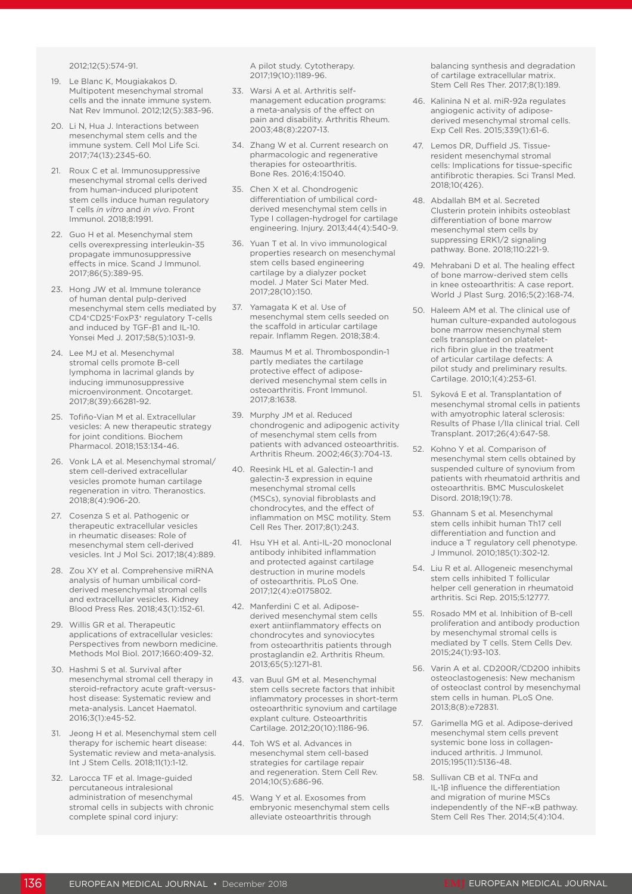2012;12(5):574-91.

- 19. Le Blanc K, Mougiakakos D. Multipotent mesenchymal stromal cells and the innate immune system. Nat Rev Immunol. 2012;12(5):383-96.
- 20. Li N, Hua J. Interactions between mesenchymal stem cells and the immune system. Cell Mol Life Sci. 2017;74(13):2345-60.
- 21. Roux C et al. Immunosuppressive mesenchymal stromal cells derived from human-induced pluripotent stem cells induce human regulatory T cells *in vitro* and *in vivo*. Front Immunol. 2018;8:1991.
- 22. Guo H et al. Mesenchymal stem cells overexpressing interleukin-35 propagate immunosuppressive effects in mice. Scand J Immunol. 2017;86(5):389-95.
- 23. Hong JW et al. Immune tolerance of human dental pulp-derived mesenchymal stem cells mediated by CD4+CD25+FoxP3+ regulatory T-cells and induced by TGF-β1 and IL-10. Yonsei Med J. 2017;58(5):1031-9.
- 24. Lee MJ et al. Mesenchymal stromal cells promote B-cell lymphoma in lacrimal glands by inducing immunosuppressive microenvironment. Oncotarget. 2017;8(39):66281-92.
- 25. Tofiño-Vian M et al. Extracellular vesicles: A new therapeutic strategy for joint conditions. Biochem Pharmacol. 2018;153:134-46.
- 26. Vonk LA et al. Mesenchymal stromal/ stem cell-derived extracellular vesicles promote human cartilage regeneration in vitro. Theranostics. 2018;8(4):906-20.
- 27. Cosenza S et al. Pathogenic or therapeutic extracellular vesicles in rheumatic diseases: Role of mesenchymal stem cell-derived vesicles. Int J Mol Sci. 2017;18(4):889.
- 28. Zou XY et al. Comprehensive miRNA analysis of human umbilical cordderived mesenchymal stromal cells and extracellular vesicles. Kidney Blood Press Res. 2018;43(1):152-61.
- 29. Willis GR et al. Therapeutic applications of extracellular vesicles: Perspectives from newborn medicine. Methods Mol Biol. 2017;1660:409-32.
- 30. Hashmi S et al. Survival after mesenchymal stromal cell therapy in steroid-refractory acute graft-versushost disease: Systematic review and meta-analysis. Lancet Haematol. 2016;3(1):e45-52.
- 31. Jeong H et al. Mesenchymal stem cell therapy for ischemic heart disease: Systematic review and meta-analysis. Int J Stem Cells. 2018;11(1):1-12.
- 32. Larocca TF et al. Image-guided percutaneous intralesional administration of mesenchymal stromal cells in subjects with chronic complete spinal cord injury:

A pilot study. Cytotherapy. 2017;19(10):1189-96.

- 33. Warsi A et al. Arthritis selfmanagement education programs: a meta-analysis of the effect on pain and disability. Arthritis Rheum. 2003;48(8):2207-13.
- 34. Zhang W et al. Current research on pharmacologic and regenerative therapies for osteoarthritis. Bone Res. 2016;4:15040.
- 35. Chen X et al. Chondrogenic differentiation of umbilical cordderived mesenchymal stem cells in Type I collagen-hydrogel for cartilage engineering. Injury. 2013;44(4):540-9.
- 36. Yuan T et al. In vivo immunological properties research on mesenchymal stem cells based engineering cartilage by a dialyzer pocket model. J Mater Sci Mater Med. 2017;28(10):150.
- 37. Yamagata K et al. Use of mesenchymal stem cells seeded on the scaffold in articular cartilage repair. Inflamm Regen. 2018;38:4.
- 38. Maumus M et al. Thrombospondin-1 partly mediates the cartilage protective effect of adiposederived mesenchymal stem cells in osteoarthritis. Front Immunol. 2017;8:1638.
- 39. Murphy JM et al. Reduced chondrogenic and adipogenic activity of mesenchymal stem cells from patients with advanced osteoarthritis. Arthritis Rheum. 2002;46(3):704-13.
- 40. Reesink HL et al. Galectin-1 and galectin-3 expression in equine mesenchymal stromal cells (MSCs), synovial fibroblasts and chondrocytes, and the effect of inflammation on MSC motility. Stem Cell Res Ther. 2017;8(1):243.
- 41. Hsu YH et al. Anti-IL-20 monoclonal antibody inhibited inflammation and protected against cartilage destruction in murine models of osteoarthritis. PLoS One. 2017;12(4):e0175802.
- 42. Manferdini C et al. Adiposederived mesenchymal stem cells exert antiinflammatory effects on chondrocytes and synoviocytes from osteoarthritis patients through prostaglandin e2. Arthritis Rheum. 2013;65(5):1271-81.
- 43. van Buul GM et al. Mesenchymal stem cells secrete factors that inhibit inflammatory processes in short-term osteoarthritic synovium and cartilage explant culture. Osteoarthritis Cartilage. 2012;20(10):1186-96.
- 44. Toh WS et al. Advances in mesenchymal stem cell-based strategies for cartilage repair and regeneration. Stem Cell Rev. 2014;10(5):686-96.
- 45. Wang Y et al. Exosomes from embryonic mesenchymal stem cells alleviate osteoarthritis through

balancing synthesis and degradation of cartilage extracellular matrix. Stem Cell Res Ther. 2017;8(1):189.

- 46. Kalinina N et al. miR-92a regulates angiogenic activity of adiposederived mesenchymal stromal cells. Exp Cell Res. 2015;339(1):61-6.
- 47. Lemos DR, Duffield JS. Tissueresident mesenchymal stromal cells: Implications for tissue-specific antifibrotic therapies. Sci Transl Med. 2018;10(426).
- 48. Abdallah BM et al. Secreted Clusterin protein inhibits osteoblast differentiation of bone marrow mesenchymal stem cells by suppressing ERK1/2 signaling pathway. Bone. 2018;110:221-9.
- 49. Mehrabani D et al. The healing effect of bone marrow-derived stem cells in knee osteoarthritis: A case report. World J Plast Surg. 2016;5(2):168-74.
- 50. Haleem AM et al. The clinical use of human culture-expanded autologous bone marrow mesenchymal stem cells transplanted on plateletrich fibrin glue in the treatment of articular cartilage defects: A pilot study and preliminary results. Cartilage. 2010;1(4):253-61.
- 51. Syková E et al. Transplantation of mesenchymal stromal cells in patients with amyotrophic lateral sclerosis: Results of Phase I/IIa clinical trial. Cell Transplant. 2017;26(4):647-58.
- 52. Kohno Y et al. Comparison of mesenchymal stem cells obtained by suspended culture of synovium from patients with rheumatoid arthritis and osteoarthritis. BMC Musculoskelet Disord. 2018;19(1):78.
- 53. Ghannam S et al. Mesenchymal stem cells inhibit human Th17 cell differentiation and function and induce a T regulatory cell phenotype. J Immunol. 2010;185(1):302-12.
- 54. Liu R et al. Allogeneic mesenchymal stem cells inhibited T follicular helper cell generation in rheumatoid arthritis. Sci Rep. 2015;5:12777.
- 55. Rosado MM et al. Inhibition of B-cell proliferation and antibody production by mesenchymal stromal cells is mediated by T cells. Stem Cells Dev. 2015;24(1):93-103.
- 56. Varin A et al. CD200R/CD200 inhibits osteoclastogenesis: New mechanism of osteoclast control by mesenchymal stem cells in human. PLoS One. 2013;8(8):e72831.
- 57. Garimella MG et al. Adipose-derived mesenchymal stem cells prevent systemic bone loss in collageninduced arthritis. J Immunol. 2015;195(11):5136-48.
- 58. Sullivan CB et al. TNFα and IL-1β influence the differentiation and migration of murine MSCs independently of the NF-κB pathway. Stem Cell Res Ther. 2014;5(4):104.